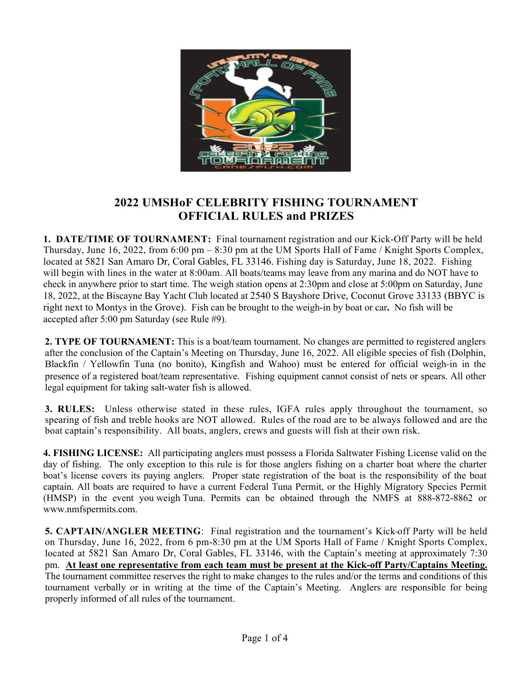

## **2022 UMSHoF CELEBRITY FISHING TOURNAMENT OFFICIAL RULES and PRIZES**

**1. DATE/TIME OF TOURNAMENT:** Final tournament registration and our Kick-Off Party will be held Thursday, June 16, 2022, from 6:00 pm – 8:30 pm at the UM Sports Hall of Fame / Knight Sports Complex, located at 5821 San Amaro Dr, Coral Gables, FL 33146. Fishing day is Saturday, June 18, 2022. Fishing will begin with lines in the water at 8:00am. All boats/teams may leave from any marina and do NOT have to check in anywhere prior to start time. The weigh station opens at 2:30pm and close at 5:00pm on Saturday, June 18, 2022, at the Biscayne Bay Yacht Club located at 2540 S Bayshore Drive, Coconut Grove 33133 (BBYC is right next to Montys in the Grove). Fish can be brought to the weigh-in by boat or car**.** No fish will be accepted after 5:00 pm Saturday (see Rule #9).

**2. TYPE OF TOURNAMENT:** This is a boat/team tournament. No changes are permitted to registered anglers after the conclusion of the Captain's Meeting on Thursday, June 16, 2022. All eligible species of fish (Dolphin, Blackfin / Yellowfin Tuna (no bonito), Kingfish and Wahoo) must be entered for official weigh-in in the presence of a registered boat/team representative. Fishing equipment cannot consist of nets or spears. All other legal equipment for taking salt-water fish is allowed.

**3. RULES:** Unless otherwise stated in these rules, IGFA rules apply throughout the tournament, so spearing of fish and treble hooks are NOT allowed. Rules of the road are to be always followed and are the boat captain's responsibility. All boats, anglers, crews and guests will fish at their own risk.

**4. FISHING LICENSE:** All participating anglers must possess a Florida Saltwater Fishing License valid on the day of fishing. The only exception to this rule is for those anglers fishing on a charter boat where the charter boat's license covers its paying anglers. Proper state registration of the boat is the responsibility of the boat captain. All boats are required to have a current Federal Tuna Permit, or the Highly Migratory Species Permit (HMSP) in the event you weigh Tuna. Permits can be obtained through the NMFS at 888-872-8862 or www.nmfspermits.com.

**5. CAPTAIN/ANGLER MEETING:** Final registration and the tournament's Kick-off Party will be held on Thursday, June 16, 2022, from 6 pm-8:30 pm at the UM Sports Hall of Fame / Knight Sports Complex, located at 5821 San Amaro Dr, Coral Gables, FL 33146, with the Captain's meeting at approximately 7:30 pm. **At least one representative from each team must be present at the Kick-off Party/Captains Meeting.** The tournament committee reserves the right to make changes to the rules and/or the terms and conditions of this tournament verbally or in writing at the time of the Captain's Meeting. Anglers are responsible for being properly informed of all rules of the tournament.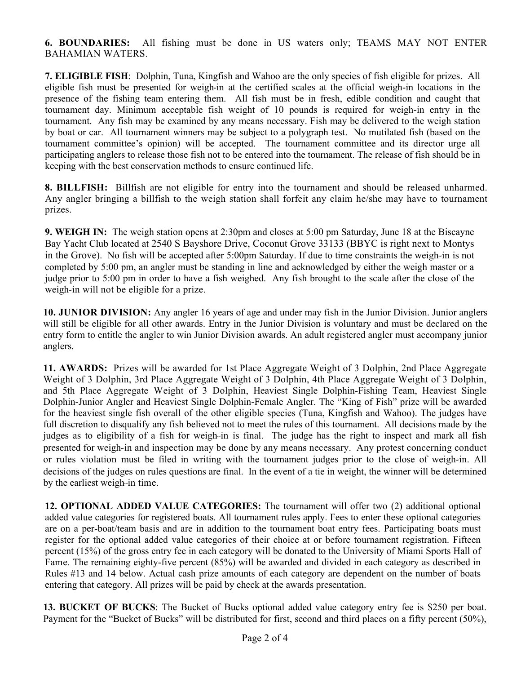**6. BOUNDARIES:** All fishing must be done in US waters only; TEAMS MAY NOT ENTER BAHAMIAN WATERS.

**7. ELIGIBLE FISH**: Dolphin, Tuna, Kingfish and Wahoo are the only species of fish eligible for prizes. All eligible fish must be presented for weigh-in at the certified scales at the official weigh-in locations in the presence of the fishing team entering them. All fish must be in fresh, edible condition and caught that tournament day. Minimum acceptable fish weight of 10 pounds is required for weigh-in entry in the tournament. Any fish may be examined by any means necessary. Fish may be delivered to the weigh station by boat or car. All tournament winners may be subject to a polygraph test. No mutilated fish (based on the tournament committee's opinion) will be accepted. The tournament committee and its director urge all participating anglers to release those fish not to be entered into the tournament. The release of fish should be in keeping with the best conservation methods to ensure continued life.

**8. BILLFISH:** Billfish are not eligible for entry into the tournament and should be released unharmed. Any angler bringing a billfish to the weigh station shall forfeit any claim he/she may have to tournament prizes.

**9. WEIGH IN:** The weigh station opens at 2:30pm and closes at 5:00 pm Saturday, June 18 at the Biscayne Bay Yacht Club located at 2540 S Bayshore Drive, Coconut Grove 33133 (BBYC is right next to Montys in the Grove). No fish will be accepted after 5:00pm Saturday. If due to time constraints the weigh-in is not completed by 5:00 pm, an angler must be standing in line and acknowledged by either the weigh master or a judge prior to 5:00 pm in order to have a fish weighed. Any fish brought to the scale after the close of the weigh-in will not be eligible for a prize.

**10. JUNIOR DIVISION:** Any angler 16 years of age and under may fish in the Junior Division. Junior anglers will still be eligible for all other awards. Entry in the Junior Division is voluntary and must be declared on the entry form to entitle the angler to win Junior Division awards. An adult registered angler must accompany junior anglers.

**11. AWARDS:** Prizes will be awarded for 1st Place Aggregate Weight of 3 Dolphin, 2nd Place Aggregate Weight of 3 Dolphin, 3rd Place Aggregate Weight of 3 Dolphin, 4th Place Aggregate Weight of 3 Dolphin, and 5th Place Aggregate Weight of 3 Dolphin, Heaviest Single Dolphin-Fishing Team, Heaviest Single Dolphin-Junior Angler and Heaviest Single Dolphin-Female Angler. The "King of Fish" prize will be awarded for the heaviest single fish overall of the other eligible species (Tuna, Kingfish and Wahoo). The judges have full discretion to disqualify any fish believed not to meet the rules of this tournament. All decisions made by the judges as to eligibility of a fish for weigh-in is final. The judge has the right to inspect and mark all fish presented for weigh-in and inspection may be done by any means necessary. Any protest concerning conduct or rules violation must be filed in writing with the tournament judges prior to the close of weigh-in. All decisions of the judges on rules questions are final. In the event of a tie in weight, the winner will be determined by the earliest weigh-in time.

**12. OPTIONAL ADDED VALUE CATEGORIES:** The tournament will offer two (2) additional optional added value categories for registered boats. All tournament rules apply. Fees to enter these optional categories are on a per-boat/team basis and are in addition to the tournament boat entry fees. Participating boats must register for the optional added value categories of their choice at or before tournament registration. Fifteen percent (15%) of the gross entry fee in each category will be donated to the University of Miami Sports Hall of Fame. The remaining eighty-five percent (85%) will be awarded and divided in each category as described in Rules #13 and 14 below. Actual cash prize amounts of each category are dependent on the number of boats entering that category. All prizes will be paid by check at the awards presentation.

**13. BUCKET OF BUCKS**: The Bucket of Bucks optional added value category entry fee is \$250 per boat. Payment for the "Bucket of Bucks" will be distributed for first, second and third places on a fifty percent (50%),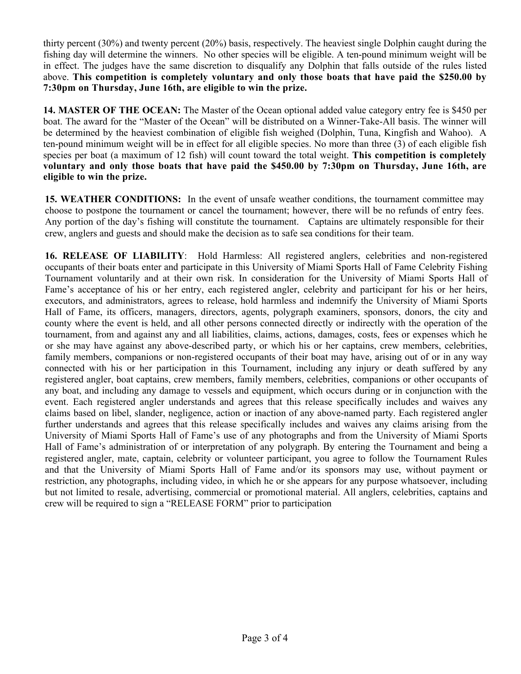thirty percent (30%) and twenty percent (20%) basis, respectively. The heaviest single Dolphin caught during the fishing day will determine the winners. No other species will be eligible. A ten-pound minimum weight will be in effect. The judges have the same discretion to disqualify any Dolphin that falls outside of the rules listed above. **This competition is completely voluntary and only those boats that have paid the \$250.00 by 7:30pm on Thursday, June 16th, are eligible to win the prize.** 

**14. MASTER OF THE OCEAN:** The Master of the Ocean optional added value category entry fee is \$450 per boat. The award for the "Master of the Ocean" will be distributed on a Winner-Take-All basis. The winner will be determined by the heaviest combination of eligible fish weighed (Dolphin, Tuna, Kingfish and Wahoo). A ten-pound minimum weight will be in effect for all eligible species. No more than three (3) of each eligible fish species per boat (a maximum of 12 fish) will count toward the total weight. **This competition is completely voluntary and only those boats that have paid the \$450.00 by 7:30pm on Thursday, June 16th, are eligible to win the prize.** 

**15. WEATHER CONDITIONS:** In the event of unsafe weather conditions, the tournament committee may choose to postpone the tournament or cancel the tournament; however, there will be no refunds of entry fees. Any portion of the day's fishing will constitute the tournament. Captains are ultimately responsible for their crew, anglers and guests and should make the decision as to safe sea conditions for their team.

**16. RELEASE OF LIABILITY**: Hold Harmless: All registered anglers, celebrities and non-registered occupants of their boats enter and participate in this University of Miami Sports Hall of Fame Celebrity Fishing Tournament voluntarily and at their own risk. In consideration for the University of Miami Sports Hall of Fame's acceptance of his or her entry, each registered angler, celebrity and participant for his or her heirs, executors, and administrators, agrees to release, hold harmless and indemnify the University of Miami Sports Hall of Fame, its officers, managers, directors, agents, polygraph examiners, sponsors, donors, the city and county where the event is held, and all other persons connected directly or indirectly with the operation of the tournament, from and against any and all liabilities, claims, actions, damages, costs, fees or expenses which he or she may have against any above-described party, or which his or her captains, crew members, celebrities, family members, companions or non-registered occupants of their boat may have, arising out of or in any way connected with his or her participation in this Tournament, including any injury or death suffered by any registered angler, boat captains, crew members, family members, celebrities, companions or other occupants of any boat, and including any damage to vessels and equipment, which occurs during or in conjunction with the event. Each registered angler understands and agrees that this release specifically includes and waives any claims based on libel, slander, negligence, action or inaction of any above-named party. Each registered angler further understands and agrees that this release specifically includes and waives any claims arising from the University of Miami Sports Hall of Fame's use of any photographs and from the University of Miami Sports Hall of Fame's administration of or interpretation of any polygraph. By entering the Tournament and being a registered angler, mate, captain, celebrity or volunteer participant, you agree to follow the Tournament Rules and that the University of Miami Sports Hall of Fame and/or its sponsors may use, without payment or restriction, any photographs, including video, in which he or she appears for any purpose whatsoever, including but not limited to resale, advertising, commercial or promotional material. All anglers, celebrities, captains and crew will be required to sign a "RELEASE FORM" prior to participation